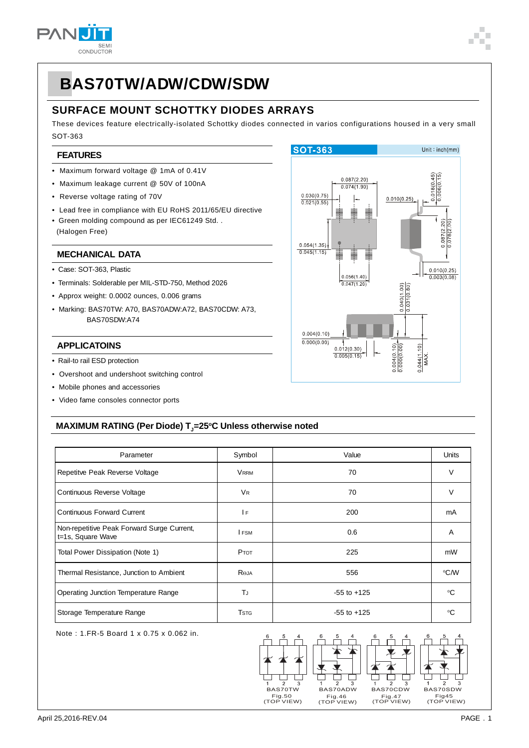

## **SURFACE MOUNT SCHOTTKY DIODES ARRAYS**

These devices feature electrically-isolated Schottky diodes connected in varios configurations housed in a very small SOT-363

#### **FEATURES**

- Maximum forward voltage @ 1mA of 0.41V
- Maximum leakage current @ 50V of 100nA
- Reverse voltage rating of 70V
- Lead free in compliance with EU RoHS 2011/65/EU directive
- Green molding compound as per IEC61249 Std. . (Halogen Free)

#### **MECHANICAL DATA**

- Case: SOT-363, Plastic
- Terminals: Solderable per MIL-STD-750, Method 2026
- Approx weight: 0.0002 ounces, 0.006 grams
- Marking: BAS70TW: A70, BAS70ADW:A72, BAS70CDW: A73, BAS70SDW:A74

#### **APPLICATOINS**

- Rail-to rail ESD protection
- Overshoot and undershoot switching control
- Mobile phones and accessories
- Video fame consoles connector ports



## **MAXIMUM RATING (Per Diode) T** $_{\textrm{J}}$ **=25°C Unless otherwise noted**

| Parameter                                                       | Symbol               | Value           | <b>Units</b> |
|-----------------------------------------------------------------|----------------------|-----------------|--------------|
| Repetitve Peak Reverse Voltage                                  | <b>VRRM</b>          | 70              | V            |
| Continuous Reverse Voltage                                      | <b>V<sub>R</sub></b> | 70              | $\vee$       |
| <b>Continuous Forward Current</b>                               | 1F                   | 200             | mA           |
| Non-repetitive Peak Forward Surge Current,<br>t=1s, Square Wave | <b>I</b> FSM         | 0.6             | A            |
| Total Power Dissipation (Note 1)                                | <b>PTOT</b>          | 225             | mW           |
| Thermal Resistance, Junction to Ambient                         | ROJA                 | 556             | °C∕W         |
| Operating Junction Temperature Range                            | ΤJ                   | $-55$ to $+125$ | °C           |
| Storage Temperature Range                                       | <b>T</b> stg         | $-55$ to $+125$ | ∘∩           |

Note : 1.FR-5 Board 1 x 0.75 x 0.062 in.

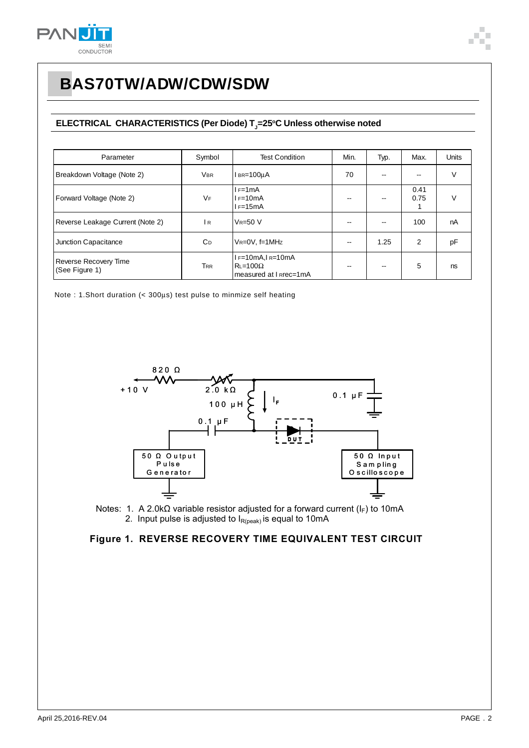

## **ELECTRICAL CHARACTERISTICS (Per Diode) T<sub>J</sub>=25°C Unless otherwise noted**

| Parameter                               | Symbol                | <b>Test Condition</b>                                                 | Min. | Typ. | Max.              | <b>Units</b> |
|-----------------------------------------|-----------------------|-----------------------------------------------------------------------|------|------|-------------------|--------------|
| Breakdown Voltage (Note 2)              | <b>VBR</b>            | l вк=100uA                                                            | 70   | --   | $\hspace{0.05cm}$ | V            |
| Forward Voltage (Note 2)                | VF                    | $I = 1mA$<br>$I = 10mA$<br>$I = 15mA$                                 |      | --   | 0.41<br>0.75      | V            |
| Reverse Leakage Current (Note 2)        | IR.                   | $V_R = 50 V$                                                          |      |      | 100               | nA           |
| Junction Capacitance                    | <b>C</b> <sub>D</sub> | $V_R = 0V$ , f=1MHz                                                   | --   | 1.25 | 2                 | pF           |
| Reverse Recovery Time<br>(See Figure 1) | <b>TRR</b>            | $I = 10mA$ , $I = 10mA$<br>$RL = 100\Omega$<br>measured at I Rrec=1mA |      |      | 5                 | ns           |

Note : 1.Short duration (< 300μs) test pulse to minmize self heating





#### **Figure 1. REVERSE RECOVERY TIME EQUIVALENT TEST CIRCUIT**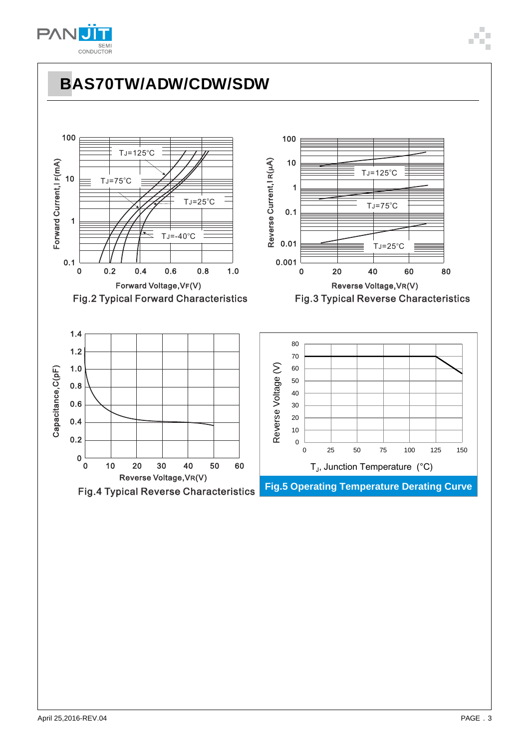

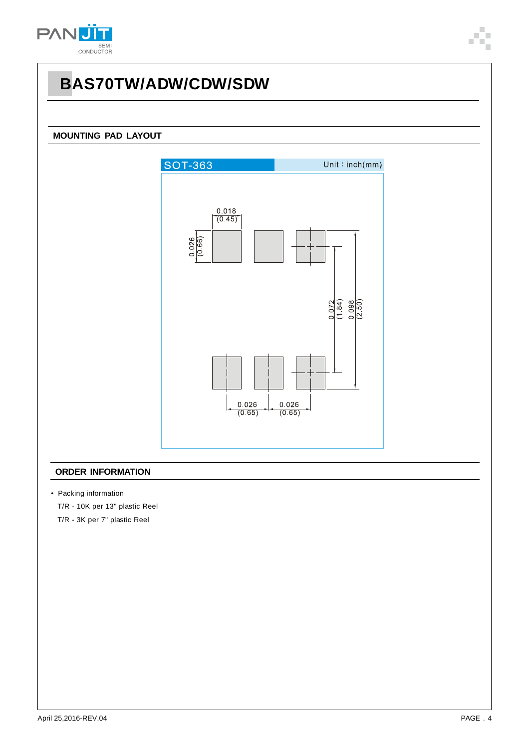

#### **MOUNTING PAD LAYOUT**



#### **ORDER INFORMATION**

• Packing information

T/R - 10K per 13" plastic Reel

T/R - 3K per 7" plastic Reel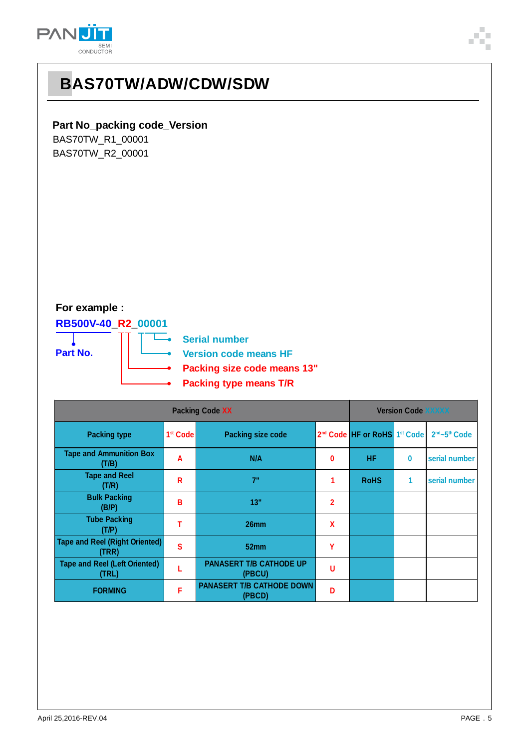

## **Part No\_packing code\_Version**

BAS70TW\_R1\_00001 BAS70TW\_R2\_00001

## **For example :**

## **RB500V-40\_R2\_00001**

Τ



**Serial number**  $\overline{\phantom{a}}$  . **Version code means HF** ä. **Packing size code means 13" Packing type means T/R**

| <b>Packing Code XX</b>                         |                      |                                            |   | <b>Version Code XXXXX</b>                            |          |                                       |  |
|------------------------------------------------|----------------------|--------------------------------------------|---|------------------------------------------------------|----------|---------------------------------------|--|
| <b>Packing type</b>                            | 1 <sup>st</sup> Code | <b>Packing size code</b>                   |   | 2 <sup>nd</sup> Code HF or RoHS 1 <sup>st</sup> Code |          | 2 <sup>nd</sup> ~5 <sup>th</sup> Code |  |
| <b>Tape and Ammunition Box</b><br>(T/B)        | A                    | N/A                                        | 0 | <b>HF</b>                                            | $\bf{0}$ | serial number                         |  |
| <b>Tape and Reel</b><br>(T/R)                  | R                    | 7"                                         |   | <b>RoHS</b>                                          | 1        | serial number                         |  |
| <b>Bulk Packing</b><br>(B/P)                   | B                    | 13"                                        | 2 |                                                      |          |                                       |  |
| <b>Tube Packing</b><br>(T/P)                   | т                    | 26mm                                       | χ |                                                      |          |                                       |  |
| <b>Tape and Reel (Right Oriented)</b><br>(TRR) | $\mathbf{s}$         | 52mm                                       | Υ |                                                      |          |                                       |  |
| <b>Tape and Reel (Left Oriented)</b><br>(TRL)  |                      | <b>PANASERT T/B CATHODE UP</b><br>(PBCU)   | U |                                                      |          |                                       |  |
| <b>FORMING</b>                                 | F                    | <b>PANASERT T/B CATHODE DOWN</b><br>(PBCD) | D |                                                      |          |                                       |  |